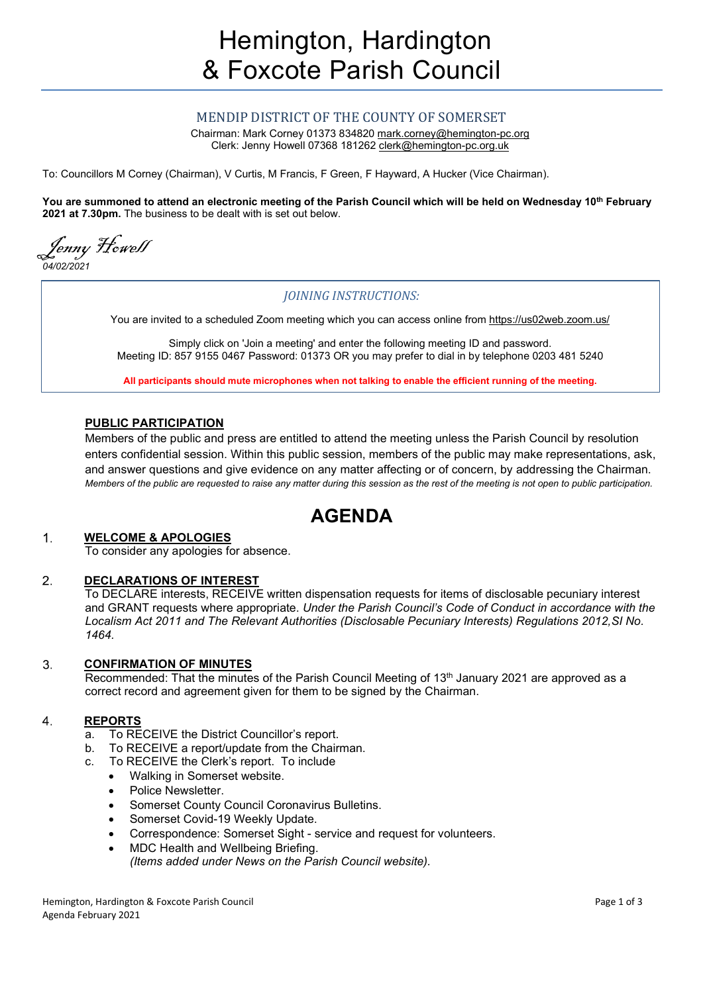## MENDIP DISTRICT OF THE COUNTY OF SOMERSET

Chairman: Mark Corney 01373 834820 mark.corney@hemington-pc.org Clerk: Jenny Howell 07368 181262 clerk@hemington-pc.org.uk

To: Councillors M Corney (Chairman), V Curtis, M Francis, F Green, F Hayward, A Hucker (Vice Chairman).

You are summoned to attend an electronic meeting of the Parish Council which will be held on Wednesday 10<sup>th</sup> February 2021 at 7.30pm. The business to be dealt with is set out below.

Jenny Howell رس<br>04/02/2021

## JOINING INSTRUCTIONS:

You are invited to a scheduled Zoom meeting which you can access online from https://us02web.zoom.us/

Simply click on 'Join a meeting' and enter the following meeting ID and password. Meeting ID: 857 9155 0467 Password: 01373 OR you may prefer to dial in by telephone 0203 481 5240

All participants should mute microphones when not talking to enable the efficient running of the meeting.

## PUBLIC PARTICIPATION

Members of the public and press are entitled to attend the meeting unless the Parish Council by resolution enters confidential session. Within this public session, members of the public may make representations, ask, and answer questions and give evidence on any matter affecting or of concern, by addressing the Chairman. Members of the public are requested to raise any matter during this session as the rest of the meeting is not open to public participation.

# AGENDA

#### $\mathbf 1$ . WELCOME & APOLOGIES

To consider any apologies for absence.

#### DECLARATIONS OF INTEREST 2.

To DECLARE interests, RECEIVE written dispensation requests for items of disclosable pecuniary interest and GRANT requests where appropriate. Under the Parish Council's Code of Conduct in accordance with the Localism Act 2011 and The Relevant Authorities (Disclosable Pecuniary Interests) Regulations 2012,SI No. 1464.

#### CONFIRMATION OF MINUTES 3.

Recommended: That the minutes of the Parish Council Meeting of 13<sup>th</sup> January 2021 are approved as a correct record and agreement given for them to be signed by the Chairman.

#### $\overline{4}$ . REPORTS

- a. To RECEIVE the District Councillor's report.
- b. To RECEIVE a report/update from the Chairman.
- c. To RECEIVE the Clerk's report. To include
	- Walking in Somerset website.
	- Police Newsletter.
	- Somerset County Council Coronavirus Bulletins.
	- Somerset Covid-19 Weekly Update.
	- Correspondence: Somerset Sight service and request for volunteers.
	- MDC Health and Wellbeing Briefing.
	- (Items added under News on the Parish Council website).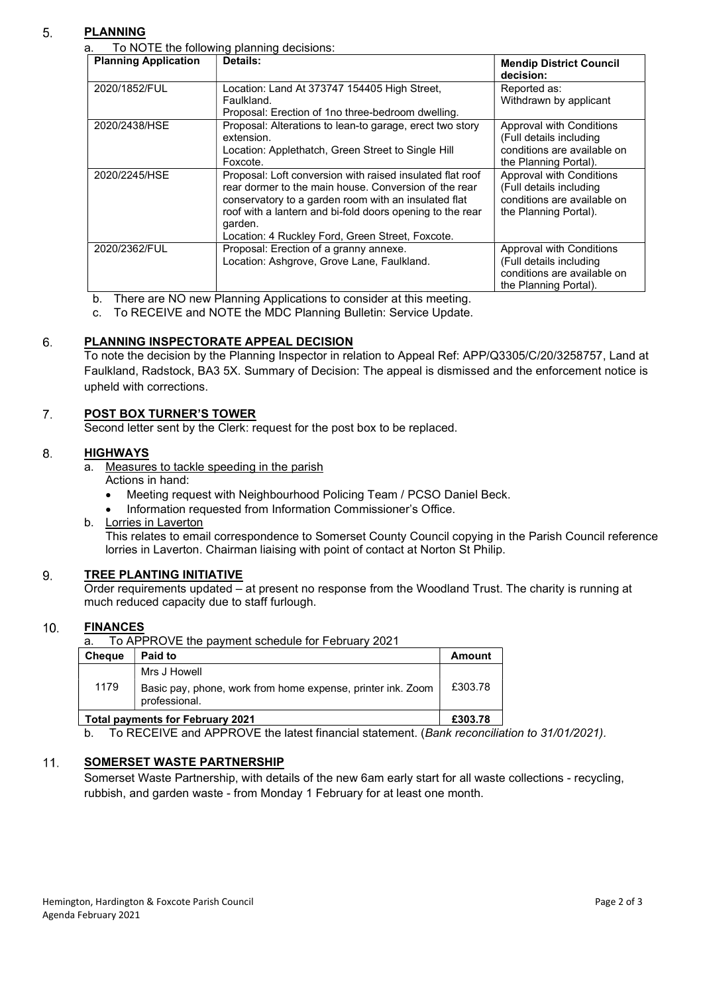### 5. PLANNING

a. To NOTE the following planning decisions:

| <b>Planning Application</b> | Details:                                                                                                                                                                                                                                                                                               | <b>Mendip District Council</b><br>decision:                                                                 |
|-----------------------------|--------------------------------------------------------------------------------------------------------------------------------------------------------------------------------------------------------------------------------------------------------------------------------------------------------|-------------------------------------------------------------------------------------------------------------|
| 2020/1852/FUL               | Location: Land At 373747 154405 High Street,<br>Faulkland.<br>Proposal: Erection of 1no three-bedroom dwelling.                                                                                                                                                                                        | Reported as:<br>Withdrawn by applicant                                                                      |
| 2020/2438/HSE               | Proposal: Alterations to lean-to garage, erect two story<br>extension.<br>Location: Applethatch, Green Street to Single Hill<br>Foxcote.                                                                                                                                                               | Approval with Conditions<br>(Full details including<br>conditions are available on<br>the Planning Portal). |
| 2020/2245/HSE               | Proposal: Loft conversion with raised insulated flat roof<br>rear dormer to the main house. Conversion of the rear<br>conservatory to a garden room with an insulated flat<br>roof with a lantern and bi-fold doors opening to the rear<br>garden.<br>Location: 4 Ruckley Ford, Green Street, Foxcote. | Approval with Conditions<br>(Full details including<br>conditions are available on<br>the Planning Portal). |
| 2020/2362/FUL               | Proposal: Erection of a granny annexe.<br>Location: Ashgrove, Grove Lane, Faulkland.                                                                                                                                                                                                                   | Approval with Conditions<br>(Full details including<br>conditions are available on<br>the Planning Portal). |

b. There are NO new Planning Applications to consider at this meeting.

c. To RECEIVE and NOTE the MDC Planning Bulletin: Service Update.

#### PLANNING INSPECTORATE APPEAL DECISION 6.

To note the decision by the Planning Inspector in relation to Appeal Ref: APP/Q3305/C/20/3258757, Land at Faulkland, Radstock, BA3 5X. Summary of Decision: The appeal is dismissed and the enforcement notice is upheld with corrections.

#### $\overline{7}$ . POST BOX TURNER'S TOWER

Second letter sent by the Clerk: request for the post box to be replaced.

#### 8. **HIGHWAYS**

- a. Measures to tackle speeding in the parish
	- Actions in hand:
	- Meeting request with Neighbourhood Policing Team / PCSO Daniel Beck.
	- Information requested from Information Commissioner's Office.
- b. Lorries in Laverton

This relates to email correspondence to Somerset County Council copying in the Parish Council reference lorries in Laverton. Chairman liaising with point of contact at Norton St Philip.

#### 9. TREE PLANTING INITIATIVE

Order requirements updated – at present no response from the Woodland Trust. The charity is running at much reduced capacity due to staff furlough.

#### $10.$ FINANCES

To APPROVE the payment schedule for February 2021

| Mrs J Howell                                                                         |         |
|--------------------------------------------------------------------------------------|---------|
| 1179<br>Basic pay, phone, work from home expense, printer ink. Zoom<br>professional. | £303.78 |
| <b>Total payments for February 2021</b>                                              | £303.78 |

b. To RECEIVE and APPROVE the latest financial statement. (Bank reconciliation to 31/01/2021).

#### $11.$ SOMERSET WASTE PARTNERSHIP

Somerset Waste Partnership, with details of the new 6am early start for all waste collections - recycling, rubbish, and garden waste - from Monday 1 February for at least one month.